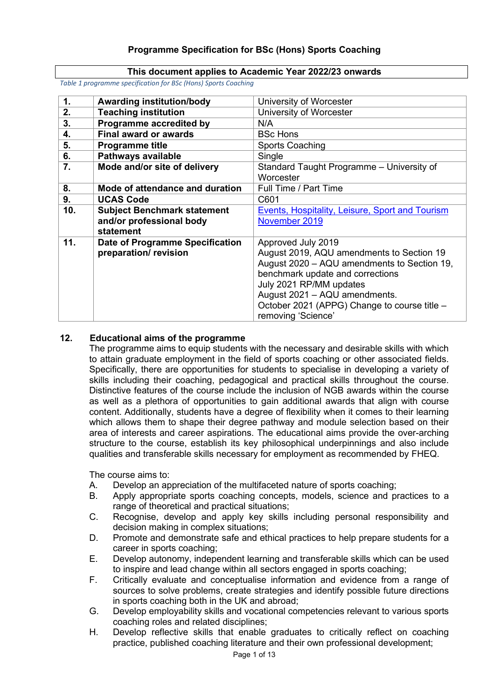## **This document applies to Academic Year 2022/23 onwards**

*Table 1 programme specification for BSc (Hons) Sports Coaching* 

| $\mathbf{1}$ . | <b>Awarding institution/body</b>   | University of Worcester                         |
|----------------|------------------------------------|-------------------------------------------------|
| 2.             | <b>Teaching institution</b>        | University of Worcester                         |
| 3.             | Programme accredited by            | N/A                                             |
| 4.             | <b>Final award or awards</b>       | <b>BSc Hons</b>                                 |
| 5.             | <b>Programme title</b>             | <b>Sports Coaching</b>                          |
| 6.             | Pathways available                 | Single                                          |
| 7.             | Mode and/or site of delivery       | Standard Taught Programme - University of       |
|                |                                    | Worcester                                       |
| 8.             | Mode of attendance and duration    | Full Time / Part Time                           |
| 9.             | <b>UCAS Code</b>                   | C601                                            |
| 10.            | <b>Subject Benchmark statement</b> | Events, Hospitality, Leisure, Sport and Tourism |
|                | and/or professional body           | November 2019                                   |
|                | statement                          |                                                 |
| 11.            | Date of Programme Specification    | Approved July 2019                              |
|                | preparation/revision               | August 2019, AQU amendments to Section 19       |
|                |                                    | August 2020 - AQU amendments to Section 19,     |
|                |                                    | benchmark update and corrections                |
|                |                                    | July 2021 RP/MM updates                         |
|                |                                    | August 2021 - AQU amendments.                   |
|                |                                    | October 2021 (APPG) Change to course title -    |
|                |                                    | removing 'Science'                              |

# **12. Educational aims of the programme**

The programme aims to equip students with the necessary and desirable skills with which to attain graduate employment in the field of sports coaching or other associated fields. Specifically, there are opportunities for students to specialise in developing a variety of skills including their coaching, pedagogical and practical skills throughout the course. Distinctive features of the course include the inclusion of NGB awards within the course as well as a plethora of opportunities to gain additional awards that align with course content. Additionally, students have a degree of flexibility when it comes to their learning which allows them to shape their degree pathway and module selection based on their area of interests and career aspirations. The educational aims provide the over-arching structure to the course, establish its key philosophical underpinnings and also include qualities and transferable skills necessary for employment as recommended by FHEQ.

The course aims to:

- A. Develop an appreciation of the multifaceted nature of sports coaching;<br>B. Apply appropriate sports coaching concepts, models, science and pro
- Apply appropriate sports coaching concepts, models, science and practices to a range of theoretical and practical situations;
- C. Recognise, develop and apply key skills including personal responsibility and decision making in complex situations;
- D. Promote and demonstrate safe and ethical practices to help prepare students for a career in sports coaching;
- E. Develop autonomy, independent learning and transferable skills which can be used to inspire and lead change within all sectors engaged in sports coaching;
- F. Critically evaluate and conceptualise information and evidence from a range of sources to solve problems, create strategies and identify possible future directions in sports coaching both in the UK and abroad;
- G. Develop employability skills and vocational competencies relevant to various sports coaching roles and related disciplines;
- H. Develop reflective skills that enable graduates to critically reflect on coaching practice, published coaching literature and their own professional development;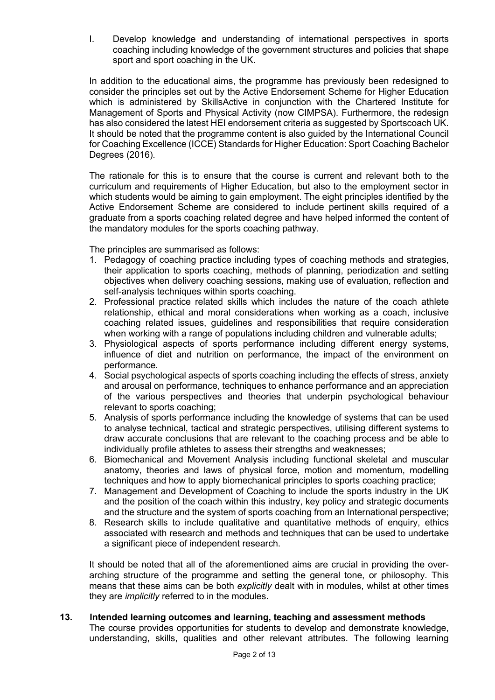I. Develop knowledge and understanding of international perspectives in sports coaching including knowledge of the government structures and policies that shape sport and sport coaching in the UK.

In addition to the educational aims, the programme has previously been redesigned to consider the principles set out by the Active Endorsement Scheme for Higher Education which is administered by SkillsActive in conjunction with the Chartered Institute for Management of Sports and Physical Activity (now CIMPSA). Furthermore, the redesign has also considered the latest HEI endorsement criteria as suggested by Sportscoach UK. It should be noted that the programme content is also guided by the International Council for Coaching Excellence (ICCE) Standards for Higher Education: Sport Coaching Bachelor Degrees (2016).

The rationale for this is to ensure that the course is current and relevant both to the curriculum and requirements of Higher Education, but also to the employment sector in which students would be aiming to gain employment. The eight principles identified by the Active Endorsement Scheme are considered to include pertinent skills required of a graduate from a sports coaching related degree and have helped informed the content of the mandatory modules for the sports coaching pathway.

The principles are summarised as follows:

- 1. Pedagogy of coaching practice including types of coaching methods and strategies, their application to sports coaching, methods of planning, periodization and setting objectives when delivery coaching sessions, making use of evaluation, reflection and self-analysis techniques within sports coaching.
- 2. Professional practice related skills which includes the nature of the coach athlete relationship, ethical and moral considerations when working as a coach, inclusive coaching related issues, guidelines and responsibilities that require consideration when working with a range of populations including children and vulnerable adults;
- 3. Physiological aspects of sports performance including different energy systems, influence of diet and nutrition on performance, the impact of the environment on performance.
- 4. Social psychological aspects of sports coaching including the effects of stress, anxiety and arousal on performance, techniques to enhance performance and an appreciation of the various perspectives and theories that underpin psychological behaviour relevant to sports coaching;
- 5. Analysis of sports performance including the knowledge of systems that can be used to analyse technical, tactical and strategic perspectives, utilising different systems to draw accurate conclusions that are relevant to the coaching process and be able to individually profile athletes to assess their strengths and weaknesses;
- 6. Biomechanical and Movement Analysis including functional skeletal and muscular anatomy, theories and laws of physical force, motion and momentum, modelling techniques and how to apply biomechanical principles to sports coaching practice;
- 7. Management and Development of Coaching to include the sports industry in the UK and the position of the coach within this industry, key policy and strategic documents and the structure and the system of sports coaching from an International perspective;
- 8. Research skills to include qualitative and quantitative methods of enquiry, ethics associated with research and methods and techniques that can be used to undertake a significant piece of independent research.

It should be noted that all of the aforementioned aims are crucial in providing the overarching structure of the programme and setting the general tone, or philosophy. This means that these aims can be both *explicitly* dealt with in modules, whilst at other times they are *implicitly* referred to in the modules.

## **13. Intended learning outcomes and learning, teaching and assessment methods**

The course provides opportunities for students to develop and demonstrate knowledge, understanding, skills, qualities and other relevant attributes. The following learning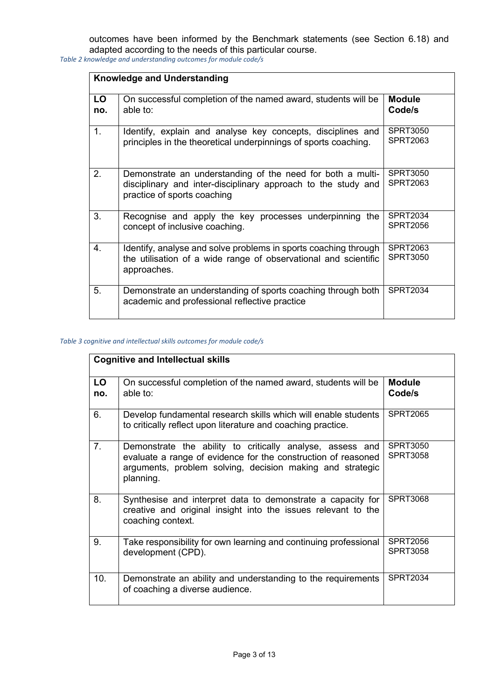outcomes have been informed by the Benchmark statements (see Section 6.18) and adapted according to the needs of this particular course.

*Table 2 knowledge and understanding outcomes for module code/s*

|           | <b>Knowledge and Understanding</b>                                                                                                                         |                                    |  |  |  |
|-----------|------------------------------------------------------------------------------------------------------------------------------------------------------------|------------------------------------|--|--|--|
| LO<br>no. | On successful completion of the named award, students will be<br>able to:                                                                                  | <b>Module</b><br>Code/s            |  |  |  |
| 1.        | Identify, explain and analyse key concepts, disciplines and<br>principles in the theoretical underpinnings of sports coaching.                             | <b>SPRT3050</b><br><b>SPRT2063</b> |  |  |  |
| 2.        | Demonstrate an understanding of the need for both a multi-<br>disciplinary and inter-disciplinary approach to the study and<br>practice of sports coaching | <b>SPRT3050</b><br>SPRT2063        |  |  |  |
| 3.        | Recognise and apply the key processes underpinning the<br>concept of inclusive coaching.                                                                   | SPRT2034<br><b>SPRT2056</b>        |  |  |  |
| $4_{-}$   | Identify, analyse and solve problems in sports coaching through<br>the utilisation of a wide range of observational and scientific<br>approaches.          | SPRT2063<br><b>SPRT3050</b>        |  |  |  |
| 5.        | Demonstrate an understanding of sports coaching through both<br>academic and professional reflective practice                                              | <b>SPRT2034</b>                    |  |  |  |

#### *Table 3 cognitive and intellectual skills outcomes for module code/s*

|                | <b>Cognitive and Intellectual skills</b>                                                                                                                                                             |                                    |
|----------------|------------------------------------------------------------------------------------------------------------------------------------------------------------------------------------------------------|------------------------------------|
| LO<br>no.      | On successful completion of the named award, students will be<br>able to:                                                                                                                            | <b>Module</b><br>Code/s            |
| 6.             | Develop fundamental research skills which will enable students<br>to critically reflect upon literature and coaching practice.                                                                       | <b>SPRT2065</b>                    |
| 7 <sub>1</sub> | Demonstrate the ability to critically analyse, assess and<br>evaluate a range of evidence for the construction of reasoned<br>arguments, problem solving, decision making and strategic<br>planning. | SPRT3050<br><b>SPRT3058</b>        |
| 8.             | Synthesise and interpret data to demonstrate a capacity for<br>creative and original insight into the issues relevant to the<br>coaching context.                                                    | <b>SPRT3068</b>                    |
| 9.             | Take responsibility for own learning and continuing professional<br>development (CPD).                                                                                                               | <b>SPRT2056</b><br><b>SPRT3058</b> |
| 10.            | Demonstrate an ability and understanding to the requirements<br>of coaching a diverse audience.                                                                                                      | <b>SPRT2034</b>                    |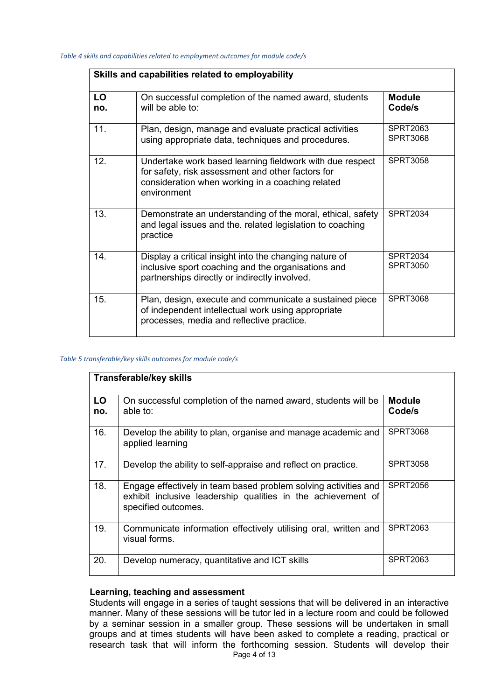|           | Skills and capabilities related to employability                                                                                                                                 |                             |  |  |  |
|-----------|----------------------------------------------------------------------------------------------------------------------------------------------------------------------------------|-----------------------------|--|--|--|
| LO<br>no. | On successful completion of the named award, students<br>will be able to:                                                                                                        | Module<br>Code/s            |  |  |  |
| 11.       | Plan, design, manage and evaluate practical activities<br>using appropriate data, techniques and procedures.                                                                     | SPRT2063<br><b>SPRT3068</b> |  |  |  |
| 12.       | Undertake work based learning fieldwork with due respect<br>for safety, risk assessment and other factors for<br>consideration when working in a coaching related<br>environment | <b>SPRT3058</b>             |  |  |  |
| 13.       | Demonstrate an understanding of the moral, ethical, safety<br>and legal issues and the. related legislation to coaching<br>practice                                              | <b>SPRT2034</b>             |  |  |  |
| 14.       | Display a critical insight into the changing nature of<br>inclusive sport coaching and the organisations and<br>partnerships directly or indirectly involved.                    | <b>SPRT2034</b><br>SPRT3050 |  |  |  |
| 15.       | Plan, design, execute and communicate a sustained piece<br>of independent intellectual work using appropriate<br>processes, media and reflective practice.                       | <b>SPRT3068</b>             |  |  |  |

#### *Table 5 transferable/key skills outcomes for module code/s*

|           | <b>Transferable/key skills</b>                                                                                                                         |                         |
|-----------|--------------------------------------------------------------------------------------------------------------------------------------------------------|-------------------------|
| LO<br>no. | On successful completion of the named award, students will be<br>able to:                                                                              | <b>Module</b><br>Code/s |
| 16.       | Develop the ability to plan, organise and manage academic and<br>applied learning                                                                      | <b>SPRT3068</b>         |
| 17.       | Develop the ability to self-appraise and reflect on practice.                                                                                          | <b>SPRT3058</b>         |
| 18.       | Engage effectively in team based problem solving activities and<br>exhibit inclusive leadership qualities in the achievement of<br>specified outcomes. | SPRT2056                |
| 19.       | Communicate information effectively utilising oral, written and<br>visual forms.                                                                       | SPRT2063                |
| 20.       | Develop numeracy, quantitative and ICT skills                                                                                                          | <b>SPRT2063</b>         |

## **Learning, teaching and assessment**

Students will engage in a series of taught sessions that will be delivered in an interactive manner. Many of these sessions will be tutor led in a lecture room and could be followed by a seminar session in a smaller group. These sessions will be undertaken in small groups and at times students will have been asked to complete a reading, practical or research task that will inform the forthcoming session. Students will develop their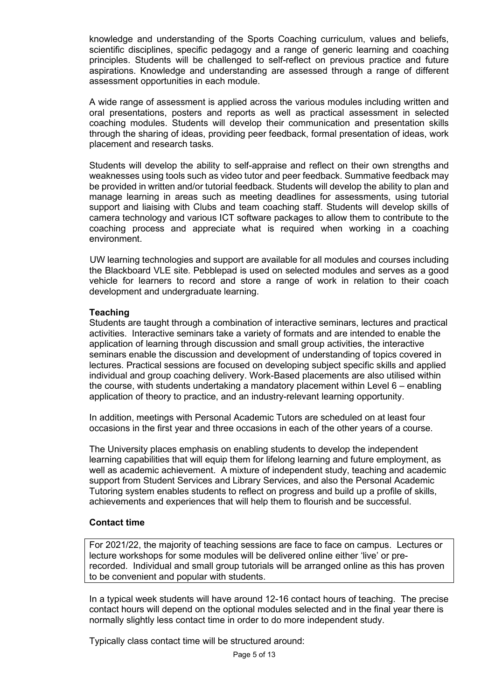knowledge and understanding of the Sports Coaching curriculum, values and beliefs, scientific disciplines, specific pedagogy and a range of generic learning and coaching principles. Students will be challenged to self-reflect on previous practice and future aspirations. Knowledge and understanding are assessed through a range of different assessment opportunities in each module.

A wide range of assessment is applied across the various modules including written and oral presentations, posters and reports as well as practical assessment in selected coaching modules. Students will develop their communication and presentation skills through the sharing of ideas, providing peer feedback, formal presentation of ideas, work placement and research tasks.

Students will develop the ability to self-appraise and reflect on their own strengths and weaknesses using tools such as video tutor and peer feedback. Summative feedback may be provided in written and/or tutorial feedback. Students will develop the ability to plan and manage learning in areas such as meeting deadlines for assessments, using tutorial support and liaising with Clubs and team coaching staff. Students will develop skills of camera technology and various ICT software packages to allow them to contribute to the coaching process and appreciate what is required when working in a coaching environment.

UW learning technologies and support are available for all modules and courses including the Blackboard VLE site. Pebblepad is used on selected modules and serves as a good vehicle for learners to record and store a range of work in relation to their coach development and undergraduate learning.

## **Teaching**

Students are taught through a combination of interactive seminars, lectures and practical activities. Interactive seminars take a variety of formats and are intended to enable the application of learning through discussion and small group activities, the interactive seminars enable the discussion and development of understanding of topics covered in lectures. Practical sessions are focused on developing subject specific skills and applied individual and group coaching delivery. Work-Based placements are also utilised within the course, with students undertaking a mandatory placement within Level 6 – enabling application of theory to practice, and an industry-relevant learning opportunity.

In addition, meetings with Personal Academic Tutors are scheduled on at least four occasions in the first year and three occasions in each of the other years of a course.

The University places emphasis on enabling students to develop the independent learning capabilities that will equip them for lifelong learning and future employment, as well as academic achievement. A mixture of independent study, teaching and academic support from Student Services and Library Services, and also the Personal Academic Tutoring system enables students to reflect on progress and build up a profile of skills, achievements and experiences that will help them to flourish and be successful.

## **Contact time**

For 2021/22, the majority of teaching sessions are face to face on campus. Lectures or lecture workshops for some modules will be delivered online either 'live' or prerecorded. Individual and small group tutorials will be arranged online as this has proven to be convenient and popular with students.

In a typical week students will have around 12-16 contact hours of teaching. The precise contact hours will depend on the optional modules selected and in the final year there is normally slightly less contact time in order to do more independent study.

Typically class contact time will be structured around: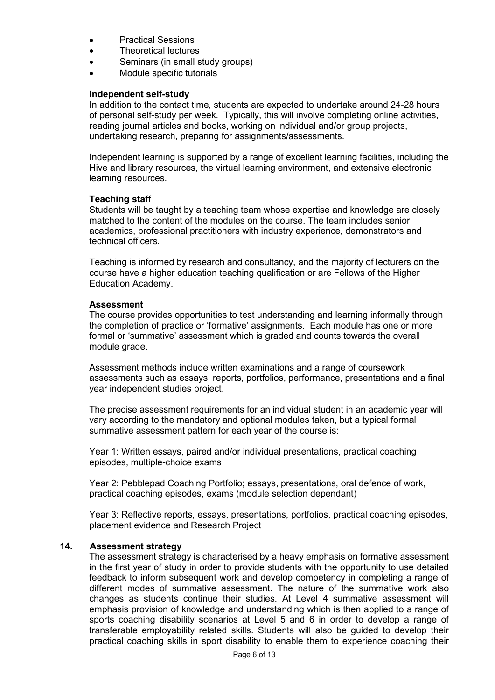- Practical Sessions
- Theoretical lectures
- Seminars (in small study groups)
- Module specific tutorials

## **Independent self-study**

In addition to the contact time, students are expected to undertake around 24-28 hours of personal self-study per week. Typically, this will involve completing online activities, reading journal articles and books, working on individual and/or group projects, undertaking research, preparing for assignments/assessments.

Independent learning is supported by a range of excellent learning facilities, including the Hive and library resources, the virtual learning environment, and extensive electronic learning resources.

## **Teaching staff**

Students will be taught by a teaching team whose expertise and knowledge are closely matched to the content of the modules on the course. The team includes senior academics, professional practitioners with industry experience, demonstrators and technical officers.

Teaching is informed by research and consultancy, and the majority of lecturers on the course have a higher education teaching qualification or are Fellows of the Higher Education Academy.

## **Assessment**

The course provides opportunities to test understanding and learning informally through the completion of practice or 'formative' assignments. Each module has one or more formal or 'summative' assessment which is graded and counts towards the overall module grade.

Assessment methods include written examinations and a range of coursework assessments such as essays, reports, portfolios, performance, presentations and a final year independent studies project.

The precise assessment requirements for an individual student in an academic year will vary according to the mandatory and optional modules taken, but a typical formal summative assessment pattern for each year of the course is:

Year 1: Written essays, paired and/or individual presentations, practical coaching episodes, multiple-choice exams

Year 2: Pebblepad Coaching Portfolio; essays, presentations, oral defence of work, practical coaching episodes, exams (module selection dependant)

Year 3: Reflective reports, essays, presentations, portfolios, practical coaching episodes, placement evidence and Research Project

## **14. Assessment strategy**

The assessment strategy is characterised by a heavy emphasis on formative assessment in the first year of study in order to provide students with the opportunity to use detailed feedback to inform subsequent work and develop competency in completing a range of different modes of summative assessment. The nature of the summative work also changes as students continue their studies. At Level 4 summative assessment will emphasis provision of knowledge and understanding which is then applied to a range of sports coaching disability scenarios at Level 5 and 6 in order to develop a range of transferable employability related skills. Students will also be guided to develop their practical coaching skills in sport disability to enable them to experience coaching their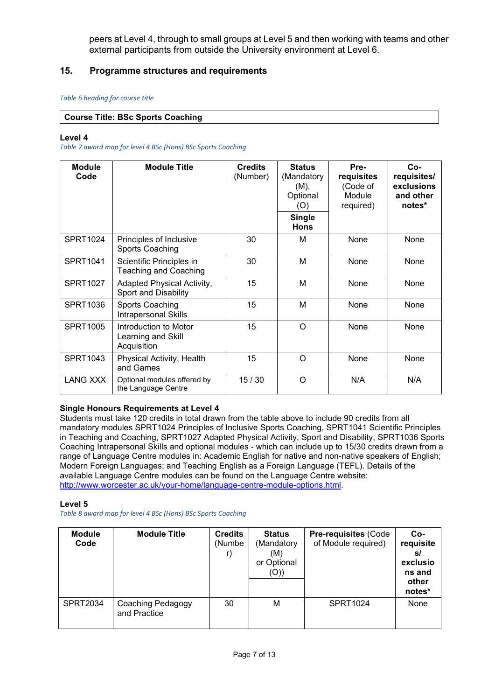peers at Level 4, through to small groups at Level 5 and then working with teams and other external participants from outside the University environment at Level 6.

# **15. Programme structures and requirements**

#### *Table 6 heading for course title*

## **Course Title: BSc Sports Coaching**

#### **Level 4**

*Table 7 award map for level 4 BSc (Hons) BSc Sports Coaching* 

| <b>Module</b><br>Code | <b>Module Title</b>                                        | <b>Credits</b><br>(Number) | <b>Status</b><br>(Mandatory<br>(M),<br>Optional<br>(O)<br><b>Single</b><br><b>Hons</b> | Pre-<br>requisites<br>(Code of<br>Module<br>required) | $Co-$<br>requisites/<br>exclusions<br>and other<br>notes* |
|-----------------------|------------------------------------------------------------|----------------------------|----------------------------------------------------------------------------------------|-------------------------------------------------------|-----------------------------------------------------------|
| <b>SPRT1024</b>       | Principles of Inclusive<br>Sports Coaching                 | 30                         | М                                                                                      | None                                                  | None                                                      |
| SPRT1041              | Scientific Principles in<br><b>Teaching and Coaching</b>   | 30                         | М                                                                                      | None                                                  | None                                                      |
| <b>SPRT1027</b>       | Adapted Physical Activity,<br><b>Sport and Disability</b>  | 15                         | M                                                                                      | None                                                  | None                                                      |
| <b>SPRT1036</b>       | Sports Coaching<br><b>Intrapersonal Skills</b>             | 15                         | M                                                                                      | None                                                  | None                                                      |
| <b>SPRT1005</b>       | Introduction to Motor<br>Learning and Skill<br>Acquisition | 15                         | O                                                                                      | None                                                  | None                                                      |
| <b>SPRT1043</b>       | Physical Activity, Health<br>and Games                     | 15                         | O                                                                                      | None                                                  | None                                                      |
| <b>LANG XXX</b>       | Optional modules offered by<br>the Language Centre         | 15/30                      | O                                                                                      | N/A                                                   | N/A                                                       |

## **Single Honours Requirements at Level 4**

Students must take 120 credits in total drawn from the table above to include 90 credits from all mandatory modules SPRT1024 Principles of Inclusive Sports Coaching, SPRT1041 Scientific Principles in Teaching and Coaching, SPRT1027 Adapted Physical Activity, Sport and Disability, SPRT1036 Sports Coaching Intrapersonal Skills and optional modules - which can include up to 15/30 credits drawn from a range of Language Centre modules in: Academic English for native and non-native speakers of English; Modern Foreign Languages; and Teaching English as a Foreign Language (TEFL). Details of the available Language Centre modules can be found on the Language Centre website: [http://www.worcester.ac.uk/your-home/language-centre-module-options.html.](http://www.worcester.ac.uk/your-home/language-centre-module-options.html)

#### **Level 5**

*Table 8 award map for level 4 BSc (Hons) BSc Sports Coaching* 

| <b>Module</b><br>Code | <b>Module Title</b>               | <b>Credits</b><br>(Numbe | <b>Status</b><br>(Mandatory<br>(M)<br>or Optional<br>(O)) | <b>Pre-requisites (Code</b><br>of Module required) | $Co-$<br>requisite<br>s/<br>exclusio<br>ns and<br>other<br>notes* |
|-----------------------|-----------------------------------|--------------------------|-----------------------------------------------------------|----------------------------------------------------|-------------------------------------------------------------------|
| <b>SPRT2034</b>       | Coaching Pedagogy<br>and Practice | 30                       | M                                                         | SPRT1024                                           | None                                                              |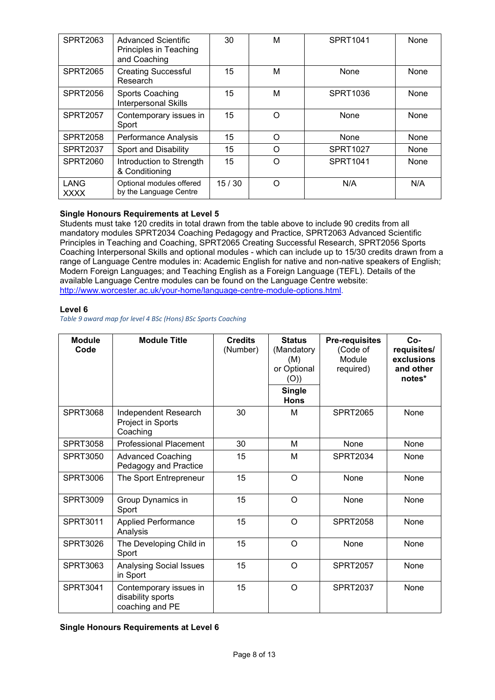| <b>SPRT2063</b>     | <b>Advanced Scientific</b><br>Principles in Teaching<br>and Coaching | 30    | M        | <b>SPRT1041</b> | None |
|---------------------|----------------------------------------------------------------------|-------|----------|-----------------|------|
| <b>SPRT2065</b>     | <b>Creating Successful</b><br>Research                               | 15    | M        | None            | None |
| <b>SPRT2056</b>     | <b>Sports Coaching</b><br>Interpersonal Skills                       | 15    | M        | SPRT1036        | None |
| <b>SPRT2057</b>     | Contemporary issues in<br>Sport                                      | 15    | $\Omega$ | None            | None |
| <b>SPRT2058</b>     | Performance Analysis                                                 | 15    | $\Omega$ | None            | None |
| <b>SPRT2037</b>     | <b>Sport and Disability</b>                                          | 15    | O        | <b>SPRT1027</b> | None |
| <b>SPRT2060</b>     | Introduction to Strength<br>& Conditioning                           | 15    | Ω        | <b>SPRT1041</b> | None |
| LANG<br><b>XXXX</b> | Optional modules offered<br>by the Language Centre                   | 15/30 | Ω        | N/A             | N/A  |

## **Single Honours Requirements at Level 5**

Students must take 120 credits in total drawn from the table above to include 90 credits from all mandatory modules SPRT2034 Coaching Pedagogy and Practice, SPRT2063 Advanced Scientific Principles in Teaching and Coaching, SPRT2065 Creating Successful Research, SPRT2056 Sports Coaching Interpersonal Skills and optional modules - which can include up to 15/30 credits drawn from a range of Language Centre modules in: Academic English for native and non-native speakers of English; Modern Foreign Languages; and Teaching English as a Foreign Language (TEFL). Details of the available Language Centre modules can be found on the Language Centre website: [http://www.worcester.ac.uk/your-home/language-centre-module-options.html.](http://www.worcester.ac.uk/your-home/language-centre-module-options.html)

#### **Level 6**

*Table 9 award map for level 4 BSc (Hons) BSc Sports Coaching* 

| <b>Module</b><br>Code | <b>Module Title</b>                                            | <b>Credits</b><br>(Number) | <b>Status</b><br>(Mandatory<br>(M)<br>or Optional<br>(O))<br><b>Single</b><br><b>Hons</b> | <b>Pre-requisites</b><br>(Code of<br>Module<br>required) | $Co-$<br>requisites/<br>exclusions<br>and other<br>notes* |
|-----------------------|----------------------------------------------------------------|----------------------------|-------------------------------------------------------------------------------------------|----------------------------------------------------------|-----------------------------------------------------------|
| <b>SPRT3068</b>       | Independent Research<br>Project in Sports<br>Coaching          | 30                         | м                                                                                         | <b>SPRT2065</b>                                          | None                                                      |
| <b>SPRT3058</b>       | <b>Professional Placement</b>                                  | 30                         | М                                                                                         | None                                                     | None                                                      |
| <b>SPRT3050</b>       | <b>Advanced Coaching</b><br>Pedagogy and Practice              | 15                         | М                                                                                         | <b>SPRT2034</b>                                          | None                                                      |
| <b>SPRT3006</b>       | The Sport Entrepreneur                                         | 15                         | O                                                                                         | None                                                     | None                                                      |
| <b>SPRT3009</b>       | Group Dynamics in<br>Sport                                     | 15                         | $\circ$                                                                                   | None                                                     | None                                                      |
| <b>SPRT3011</b>       | <b>Applied Performance</b><br>Analysis                         | 15                         | $\Omega$                                                                                  | <b>SPRT2058</b>                                          | None                                                      |
| <b>SPRT3026</b>       | The Developing Child in<br>Sport                               | 15                         | $\circ$                                                                                   | None                                                     | None                                                      |
| <b>SPRT3063</b>       | <b>Analysing Social Issues</b><br>in Sport                     | 15                         | $\circ$                                                                                   | <b>SPRT2057</b>                                          | None                                                      |
| SPRT3041              | Contemporary issues in<br>disability sports<br>coaching and PE | 15                         | O                                                                                         | <b>SPRT2037</b>                                          | None                                                      |

**Single Honours Requirements at Level 6**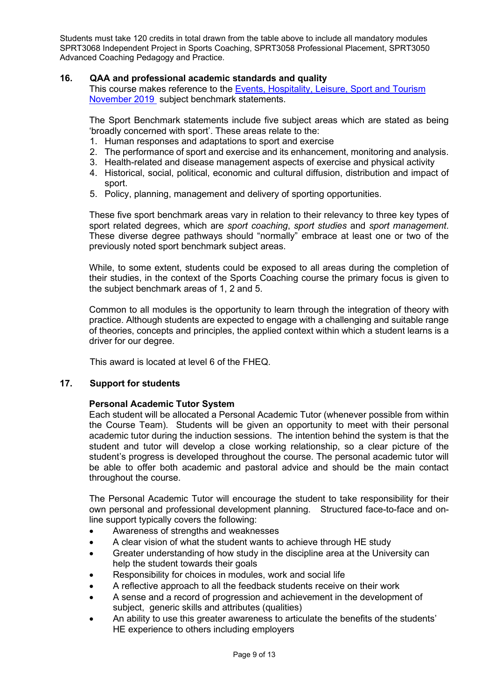Students must take 120 credits in total drawn from the table above to include all mandatory modules SPRT3068 Independent Project in Sports Coaching, SPRT3058 Professional Placement, SPRT3050 Advanced Coaching Pedagogy and Practice.

# **16. QAA and professional academic standards and quality**

This course makes reference to the [Events, Hospitality, Leisure, Sport and Tourism](https://www.qaa.ac.uk/docs/qaa/subject-benchmark-statements/subject-benchmark-statement-events-leisure-sport-tourism.pdf?sfvrsn=c339c881_11)  [November 2019](https://www.qaa.ac.uk/docs/qaa/subject-benchmark-statements/subject-benchmark-statement-events-leisure-sport-tourism.pdf?sfvrsn=c339c881_11) subject benchmark statements.

The Sport Benchmark statements include five subject areas which are stated as being 'broadly concerned with sport'. These areas relate to the:

- 1. Human responses and adaptations to sport and exercise
- 2. The performance of sport and exercise and its enhancement, monitoring and analysis.
- 3. Health-related and disease management aspects of exercise and physical activity
- 4. Historical, social, political, economic and cultural diffusion, distribution and impact of sport.
- 5. Policy, planning, management and delivery of sporting opportunities.

These five sport benchmark areas vary in relation to their relevancy to three key types of sport related degrees, which are *sport coaching*, *sport studies* and *sport management*. These diverse degree pathways should "normally" embrace at least one or two of the previously noted sport benchmark subject areas.

While, to some extent, students could be exposed to all areas during the completion of their studies, in the context of the Sports Coaching course the primary focus is given to the subject benchmark areas of 1, 2 and 5.

Common to all modules is the opportunity to learn through the integration of theory with practice. Although students are expected to engage with a challenging and suitable range of theories, concepts and principles, the applied context within which a student learns is a driver for our degree.

This award is located at level 6 of the FHEQ.

# **17. Support for students**

# **Personal Academic Tutor System**

Each student will be allocated a Personal Academic Tutor (whenever possible from within the Course Team). Students will be given an opportunity to meet with their personal academic tutor during the induction sessions. The intention behind the system is that the student and tutor will develop a close working relationship, so a clear picture of the student's progress is developed throughout the course. The personal academic tutor will be able to offer both academic and pastoral advice and should be the main contact throughout the course.

The Personal Academic Tutor will encourage the student to take responsibility for their own personal and professional development planning. Structured face-to-face and online support typically covers the following:

- Awareness of strengths and weaknesses
- A clear vision of what the student wants to achieve through HE study
- Greater understanding of how study in the discipline area at the University can help the student towards their goals
- Responsibility for choices in modules, work and social life
- A reflective approach to all the feedback students receive on their work
- A sense and a record of progression and achievement in the development of subject, generic skills and attributes (qualities)
- An ability to use this greater awareness to articulate the benefits of the students' HE experience to others including employers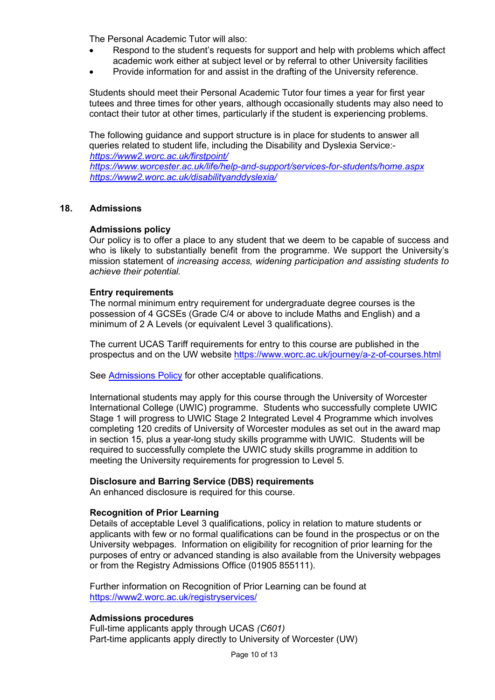The Personal Academic Tutor will also:

- Respond to the student's requests for support and help with problems which affect academic work either at subject level or by referral to other University facilities
- Provide information for and assist in the drafting of the University reference.

Students should meet their Personal Academic Tutor four times a year for first year tutees and three times for other years, although occasionally students may also need to contact their tutor at other times, particularly if the student is experiencing problems.

The following guidance and support structure is in place for students to answer all queries related to student life, including the Disability and Dyslexia Service: *<https://www2.worc.ac.uk/firstpoint/> <https://www.worcester.ac.uk/life/help-and-support/services-for-students/home.aspx> <https://www2.worc.ac.uk/disabilityanddyslexia/>*

## **18. Admissions**

## **Admissions policy**

Our policy is to offer a place to any student that we deem to be capable of success and who is likely to substantially benefit from the programme. We support the University's mission statement of *increasing access, widening participation and assisting students to achieve their potential.*

## **Entry requirements**

The normal minimum entry requirement for undergraduate degree courses is the possession of 4 GCSEs (Grade C/4 or above to include Maths and English) and a minimum of 2 A Levels (or equivalent Level 3 qualifications).

The current UCAS Tariff requirements for entry to this course are published in the prospectus and on the UW website<https://www.worc.ac.uk/journey/a-z-of-courses.html>

See [Admissions Policy](http://www.worcester.ac.uk/registryservices/documents/AdmissionsPolicy.pdf) for other acceptable qualifications.

International students may apply for this course through the University of Worcester International College (UWIC) programme. Students who successfully complete UWIC Stage 1 will progress to UWIC Stage 2 Integrated Level 4 Programme which involves completing 120 credits of University of Worcester modules as set out in the award map in section 15, plus a year-long study skills programme with UWIC. Students will be required to successfully complete the UWIC study skills programme in addition to meeting the University requirements for progression to Level 5.

# **Disclosure and Barring Service (DBS) requirements**

An enhanced disclosure is required for this course.

## **Recognition of Prior Learning**

Details of acceptable Level 3 qualifications, policy in relation to mature students or applicants with few or no formal qualifications can be found in the prospectus or on the University webpages. Information on eligibility for recognition of prior learning for the purposes of entry or advanced standing is also available from the University webpages or from the Registry Admissions Office (01905 855111).

Further information on Recognition of Prior Learning can be found at <https://www2.worc.ac.uk/registryservices/>

## **Admissions procedures**

Full-time applicants apply through UCAS *(C601)* Part-time applicants apply directly to University of Worcester (UW)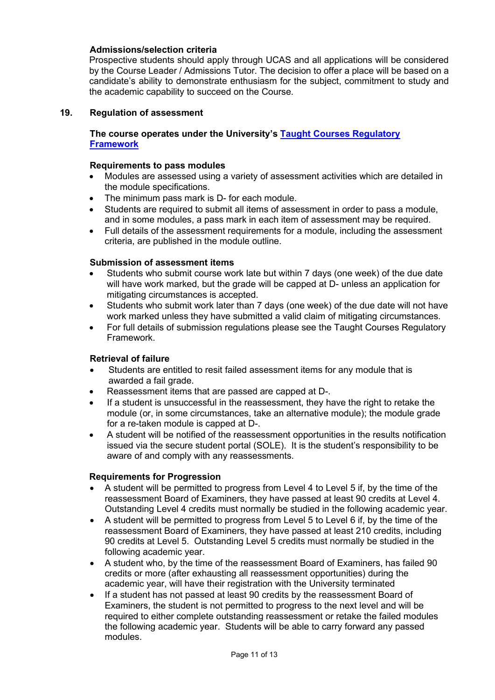# **Admissions/selection criteria**

Prospective students should apply through UCAS and all applications will be considered by the Course Leader / Admissions Tutor. The decision to offer a place will be based on a candidate's ability to demonstrate enthusiasm for the subject, commitment to study and the academic capability to succeed on the Course.

## **19. Regulation of assessment**

# **The course operates under the University's [Taught Courses Regulatory](http://www.worcester.ac.uk/registryservices/documents/TaughtCoursesRegulatoryFramework.pdf)  [Framework](http://www.worcester.ac.uk/registryservices/documents/TaughtCoursesRegulatoryFramework.pdf)**

## **Requirements to pass modules**

- Modules are assessed using a variety of assessment activities which are detailed in the module specifications.
- The minimum pass mark is D- for each module.
- Students are required to submit all items of assessment in order to pass a module, and in some modules, a pass mark in each item of assessment may be required.
- Full details of the assessment requirements for a module, including the assessment criteria, are published in the module outline.

## **Submission of assessment items**

- Students who submit course work late but within 7 days (one week) of the due date will have work marked, but the grade will be capped at D- unless an application for mitigating circumstances is accepted.
- Students who submit work later than 7 days (one week) of the due date will not have work marked unless they have submitted a valid claim of mitigating circumstances.
- For full details of submission regulations please see the Taught Courses Regulatory Framework.

## **Retrieval of failure**

- Students are entitled to resit failed assessment items for any module that is awarded a fail grade.
- Reassessment items that are passed are capped at D-.
- If a student is unsuccessful in the reassessment, they have the right to retake the module (or, in some circumstances, take an alternative module); the module grade for a re-taken module is capped at D-.
- A student will be notified of the reassessment opportunities in the results notification issued via the secure student portal (SOLE). It is the student's responsibility to be aware of and comply with any reassessments.

## **Requirements for Progression**

- A student will be permitted to progress from Level 4 to Level 5 if, by the time of the reassessment Board of Examiners, they have passed at least 90 credits at Level 4. Outstanding Level 4 credits must normally be studied in the following academic year.
- A student will be permitted to progress from Level 5 to Level 6 if, by the time of the reassessment Board of Examiners, they have passed at least 210 credits, including 90 credits at Level 5. Outstanding Level 5 credits must normally be studied in the following academic year.
- A student who, by the time of the reassessment Board of Examiners, has failed 90 credits or more (after exhausting all reassessment opportunities) during the academic year, will have their registration with the University terminated
- If a student has not passed at least 90 credits by the reassessment Board of Examiners, the student is not permitted to progress to the next level and will be required to either complete outstanding reassessment or retake the failed modules the following academic year. Students will be able to carry forward any passed modules.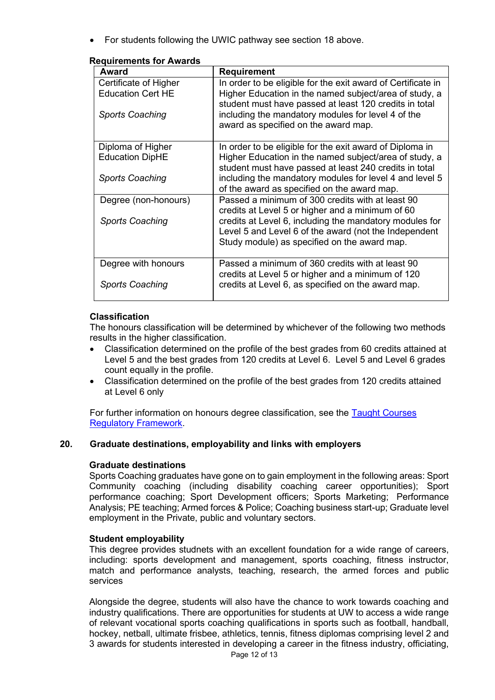• For students following the UWIC pathway see section 18 above.

| Award                    | <b>Requirement</b>                                                                                               |
|--------------------------|------------------------------------------------------------------------------------------------------------------|
| Certificate of Higher    | In order to be eligible for the exit award of Certificate in                                                     |
| <b>Education Cert HE</b> | Higher Education in the named subject/area of study, a<br>student must have passed at least 120 credits in total |
| <b>Sports Coaching</b>   | including the mandatory modules for level 4 of the<br>award as specified on the award map.                       |
| Diploma of Higher        | In order to be eligible for the exit award of Diploma in                                                         |
| <b>Education DipHE</b>   | Higher Education in the named subject/area of study, a<br>student must have passed at least 240 credits in total |
| <b>Sports Coaching</b>   | including the mandatory modules for level 4 and level 5<br>of the award as specified on the award map.           |
| Degree (non-honours)     | Passed a minimum of 300 credits with at least 90<br>credits at Level 5 or higher and a minimum of 60             |
| <b>Sports Coaching</b>   | credits at Level 6, including the mandatory modules for                                                          |
|                          | Level 5 and Level 6 of the award (not the Independent<br>Study module) as specified on the award map.            |
|                          |                                                                                                                  |
| Degree with honours      | Passed a minimum of 360 credits with at least 90<br>credits at Level 5 or higher and a minimum of 120            |
| <b>Sports Coaching</b>   | credits at Level 6, as specified on the award map.                                                               |

# **Requirements for Awards**

# **Classification**

The honours classification will be determined by whichever of the following two methods results in the higher classification.

- Classification determined on the profile of the best grades from 60 credits attained at Level 5 and the best grades from 120 credits at Level 6. Level 5 and Level 6 grades count equally in the profile.
- Classification determined on the profile of the best grades from 120 credits attained at Level 6 only

For further information on honours degree classification, see the [Taught Courses](http://www.worcester.ac.uk/registryservices/documents/TaughtCoursesRegulatoryFramework.pdf)  [Regulatory Framework.](http://www.worcester.ac.uk/registryservices/documents/TaughtCoursesRegulatoryFramework.pdf)

# **20. Graduate destinations, employability and links with employers**

# **Graduate destinations**

Sports Coaching graduates have gone on to gain employment in the following areas: Sport Community coaching (including disability coaching career opportunities); Sport performance coaching; Sport Development officers; Sports Marketing; Performance Analysis; PE teaching; Armed forces & Police; Coaching business start-up; Graduate level employment in the Private, public and voluntary sectors.

# **Student employability**

This degree provides studnets with an excellent foundation for a wide range of careers, including: sports development and management, sports coaching, fitness instructor, match and performance analysts, teaching, research, the armed forces and public services

Alongside the degree, students will also have the chance to work towards coaching and industry qualifications. There are opportunities for students at UW to access a wide range of relevant vocational sports coaching qualifications in sports such as football, handball, hockey, netball, ultimate frisbee, athletics, tennis, fitness diplomas comprising level 2 and 3 awards for students interested in developing a career in the fitness industry, officiating,